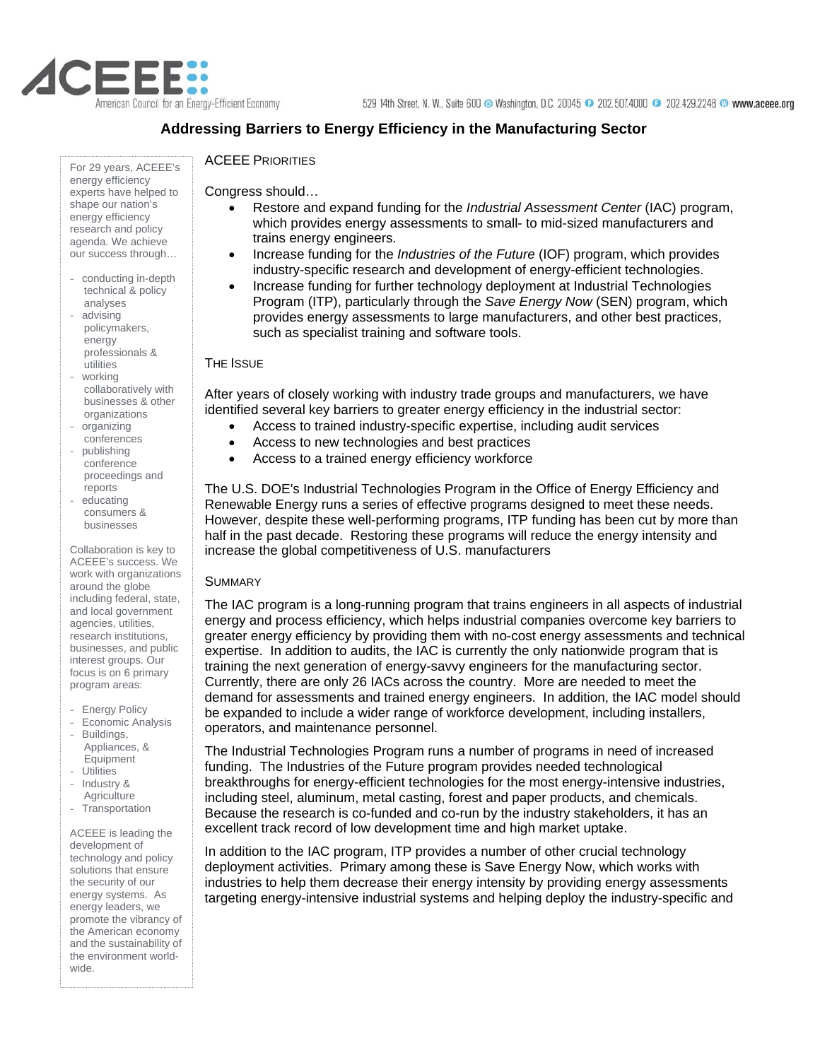

## **Addressing Barriers to Energy Efficiency in the Manufacturing Sector**

energy efficiency experts have helped to shape our nation's energy efficiency research and policy agenda. We achieve our success through…

- conducting in-depth technical & policy analyses
- advising policymakers, energy professionals & utilities
- working collaboratively with businesses & other organizations
- organizing conferences
- publishing conference proceedings and reports
- educating consumers & businesses

Collaboration is key to ACEEE's success. We work with organizations around the globe including federal, state, and local government agencies, utilities, research institutions, businesses, and public interest groups. Our focus is on 6 primary program areas:

- Energy Policy
- Economic Analysis
- Buildings, Appliances, & Equipment
- Utilities
- Industry &
- Agriculture
- Transportation

ACEEE is leading the development of technology and policy solutions that ensure the security of our energy systems. As energy leaders, we promote the vibrancy of the American economy and the sustainability of the environment worldwide.

## For 29 years, ACEEE's **ACEEE PRIORITIES**

Congress should…

- Restore and expand funding for the *Industrial Assessment Center* (IAC) program, which provides energy assessments to small- to mid-sized manufacturers and trains energy engineers.
- Increase funding for the *Industries of the Future* (IOF) program, which provides industry-specific research and development of energy-efficient technologies.
- Increase funding for further technology deployment at Industrial Technologies Program (ITP), particularly through the *Save Energy Now* (SEN) program, which provides energy assessments to large manufacturers, and other best practices, such as specialist training and software tools.

## THE ISSUE

After years of closely working with industry trade groups and manufacturers, we have identified several key barriers to greater energy efficiency in the industrial sector:

- Access to trained industry-specific expertise, including audit services
- Access to new technologies and best practices
- Access to a trained energy efficiency workforce

The U.S. DOE's Industrial Technologies Program in the Office of Energy Efficiency and Renewable Energy runs a series of effective programs designed to meet these needs. However, despite these well-performing programs, ITP funding has been cut by more than half in the past decade. Restoring these programs will reduce the energy intensity and increase the global competitiveness of U.S. manufacturers

## **SUMMARY**

The IAC program is a long-running program that trains engineers in all aspects of industrial energy and process efficiency, which helps industrial companies overcome key barriers to greater energy efficiency by providing them with no-cost energy assessments and technical expertise. In addition to audits, the IAC is currently the only nationwide program that is training the next generation of energy-savvy engineers for the manufacturing sector. Currently, there are only 26 IACs across the country. More are needed to meet the demand for assessments and trained energy engineers. In addition, the IAC model should be expanded to include a wider range of workforce development, including installers, operators, and maintenance personnel.

The Industrial Technologies Program runs a number of programs in need of increased funding. The Industries of the Future program provides needed technological breakthroughs for energy-efficient technologies for the most energy-intensive industries, including steel, aluminum, metal casting, forest and paper products, and chemicals. Because the research is co-funded and co-run by the industry stakeholders, it has an excellent track record of low development time and high market uptake.

In addition to the IAC program, ITP provides a number of other crucial technology deployment activities. Primary among these is Save Energy Now, which works with industries to help them decrease their energy intensity by providing energy assessments targeting energy-intensive industrial systems and helping deploy the industry-specific and